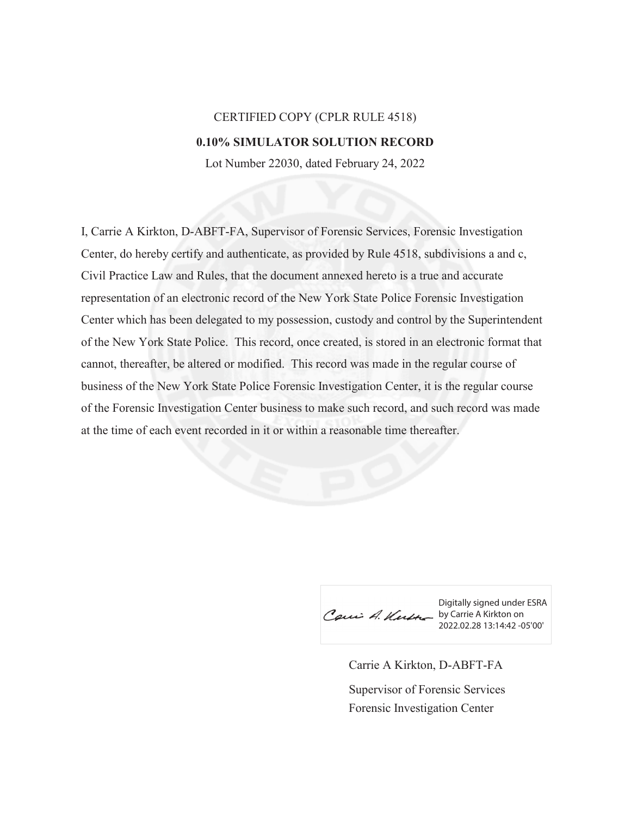## CERTIFIED COPY (CPLR RULE 4518) **0.10% SIMULATOR SOLUTION RECORD**

Lot Number 22030, dated February 24, 2022

I, Carrie A Kirkton, D-ABFT-FA, Supervisor of Forensic Services, Forensic Investigation Center, do hereby certify and authenticate, as provided by Rule 4518, subdivisions a and c, Civil Practice Law and Rules, that the document annexed hereto is a true and accurate representation of an electronic record of the New York State Police Forensic Investigation Center which has been delegated to my possession, custody and control by the Superintendent of the New York State Police. This record, once created, is stored in an electronic format that cannot, thereafter, be altered or modified. This record was made in the regular course of business of the New York State Police Forensic Investigation Center, it is the regular course of the Forensic Investigation Center business to make such record, and such record was made at the time of each event recorded in it or within a reasonable time thereafter.

Caux A. Kutte by Carrie A Kirkton on

Digitally signed under ESRA 2022.02.28 13:14:42 -05'00'

Carrie A Kirkton, D-ABFT-FA Forensic Investigation Center Supervisor of Forensic Services